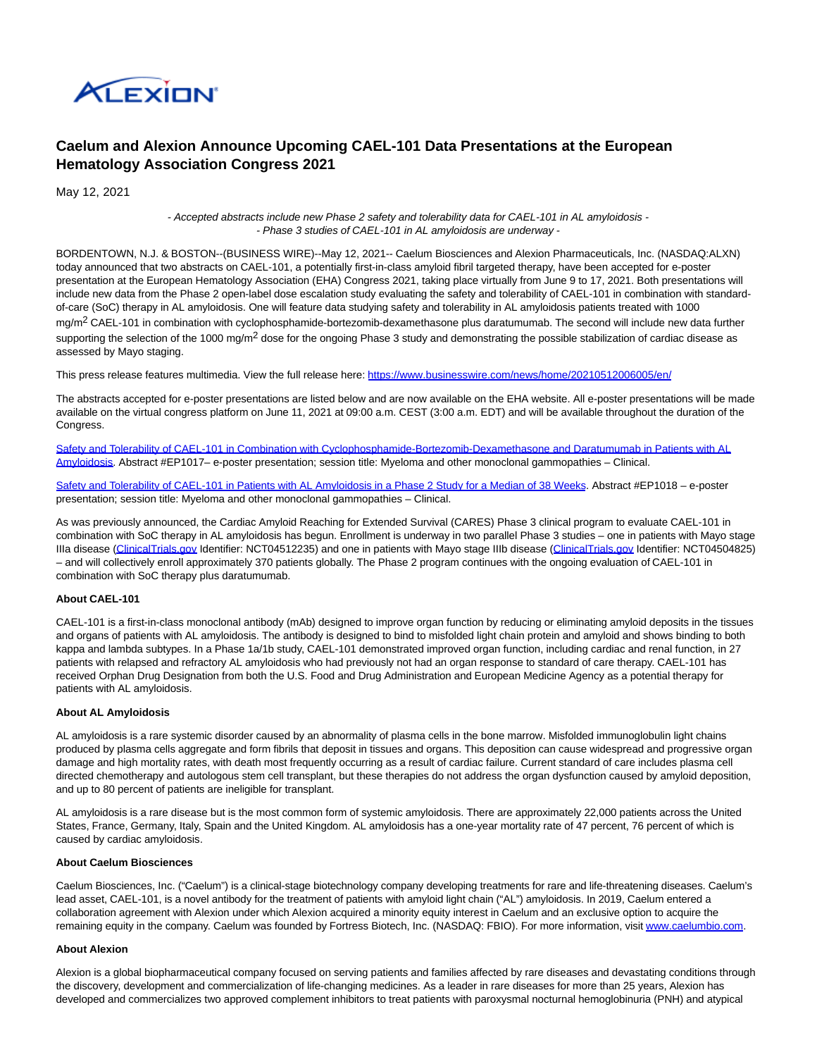

# **Caelum and Alexion Announce Upcoming CAEL-101 Data Presentations at the European Hematology Association Congress 2021**

May 12, 2021

- Accepted abstracts include new Phase 2 safety and tolerability data for CAEL-101 in AL amyloidosis - - Phase 3 studies of CAEL-101 in AL amyloidosis are underway -

BORDENTOWN, N.J. & BOSTON--(BUSINESS WIRE)--May 12, 2021-- Caelum Biosciences and Alexion Pharmaceuticals, Inc. (NASDAQ:ALXN) today announced that two abstracts on CAEL-101, a potentially first-in-class amyloid fibril targeted therapy, have been accepted for e-poster presentation at the European Hematology Association (EHA) Congress 2021, taking place virtually from June 9 to 17, 2021. Both presentations will include new data from the Phase 2 open-label dose escalation study evaluating the safety and tolerability of CAEL-101 in combination with standardof-care (SoC) therapy in AL amyloidosis. One will feature data studying safety and tolerability in AL amyloidosis patients treated with 1000 mg/m<sup>2</sup> CAEL-101 in combination with cyclophosphamide-bortezomib-dexamethasone plus daratumumab. The second will include new data further supporting the selection of the 1000 mg/m<sup>2</sup> dose for the ongoing Phase 3 study and demonstrating the possible stabilization of cardiac disease as assessed by Mayo staging.

This press release features multimedia. View the full release here:<https://www.businesswire.com/news/home/20210512006005/en/>

The abstracts accepted for e-poster presentations are listed below and are now available on the EHA website. All e-poster presentations will be made available on the virtual congress platform on June 11, 2021 at 09:00 a.m. CEST (3:00 a.m. EDT) and will be available throughout the duration of the Congress.

[Safety and Tolerability of CAEL-101 in Combination with Cyclophosphamide-Bortezomib-Dexamethasone and Daratumumab in Patients with AL](https://cts.businesswire.com/ct/CT?id=smartlink&url=https%3A%2F%2Flibrary.ehaweb.org%2Feha%2F2021%2Feha2021-virtual-congress%2F324740%2Fjason.valent.safety.and.tolerability.of.cael-101.in.combination.with.html%3Ff%3Dlisting%253D0%252Abrowseby%253D8%252Asortby%253D1%252Asearch%253Dcael-101&esheet=52428601&newsitemid=20210512006005&lan=en-US&anchor=Safety+and+Tolerability+of+CAEL-101+in+Combination+with+Cyclophosphamide-Bortezomib-Dexamethasone+and+Daratumumab+in+Patients+with+AL+Amyloidosis&index=1&md5=9922cc2f055d3caa7fa2cd879c241410) Amyloidosis. Abstract #EP1017– e-poster presentation; session title: Myeloma and other monoclonal gammopathies – Clinical.

[Safety and Tolerability of CAEL-101 in Patients with AL Amyloidosis in a Phase 2 Study for a Median of 38 Weeks.](https://cts.businesswire.com/ct/CT?id=smartlink&url=https%3A%2F%2Flibrary.ehaweb.org%2Feha%2F2021%2Feha2021-virtual-congress%2F324741%2Fjason.valent.safety.and.tolerability.of.cael-101.in.patients.with.al.html%3Ff%3Dlisting%253D0%252Abrowseby%253D8%252Asortby%253D1%252Asearch%253Dcael-101&esheet=52428601&newsitemid=20210512006005&lan=en-US&anchor=Safety+and+Tolerability+of+CAEL-101+in+Patients+with+AL+Amyloidosis+in+a+Phase+2+Study+for+a+Median+of+38+Weeks&index=2&md5=11f489acaf71a0c32a9f5f36d13bc69d) Abstract #EP1018 - e-poster presentation; session title: Myeloma and other monoclonal gammopathies – Clinical.

As was previously announced, the Cardiac Amyloid Reaching for Extended Survival (CARES) Phase 3 clinical program to evaluate CAEL-101 in combination with SoC therapy in AL amyloidosis has begun. Enrollment is underway in two parallel Phase 3 studies – one in patients with Mayo stage IIIa disease [\(ClinicalTrials.gov I](http://clinicaltrials.gov/)dentifier: NCT04512235) and one in patients with Mayo stage IIIb disease (ClinicalTrials.gov Identifier: NCT04504825) – and will collectively enroll approximately 370 patients globally. The Phase 2 program continues with the ongoing evaluation of CAEL-101 in combination with SoC therapy plus daratumumab.

## **About CAEL-101**

CAEL-101 is a first-in-class monoclonal antibody (mAb) designed to improve organ function by reducing or eliminating amyloid deposits in the tissues and organs of patients with AL amyloidosis. The antibody is designed to bind to misfolded light chain protein and amyloid and shows binding to both kappa and lambda subtypes. In a Phase 1a/1b study, CAEL-101 demonstrated improved organ function, including cardiac and renal function, in 27 patients with relapsed and refractory AL amyloidosis who had previously not had an organ response to standard of care therapy. CAEL-101 has received Orphan Drug Designation from both the U.S. Food and Drug Administration and European Medicine Agency as a potential therapy for patients with AL amyloidosis.

# **About AL Amyloidosis**

AL amyloidosis is a rare systemic disorder caused by an abnormality of plasma cells in the bone marrow. Misfolded immunoglobulin light chains produced by plasma cells aggregate and form fibrils that deposit in tissues and organs. This deposition can cause widespread and progressive organ damage and high mortality rates, with death most frequently occurring as a result of cardiac failure. Current standard of care includes plasma cell directed chemotherapy and autologous stem cell transplant, but these therapies do not address the organ dysfunction caused by amyloid deposition, and up to 80 percent of patients are ineligible for transplant.

AL amyloidosis is a rare disease but is the most common form of systemic amyloidosis. There are approximately 22,000 patients across the United States, France, Germany, Italy, Spain and the United Kingdom. AL amyloidosis has a one-year mortality rate of 47 percent, 76 percent of which is caused by cardiac amyloidosis.

#### **About Caelum Biosciences**

Caelum Biosciences, Inc. ("Caelum") is a clinical-stage biotechnology company developing treatments for rare and life-threatening diseases. Caelum's lead asset, CAEL-101, is a novel antibody for the treatment of patients with amyloid light chain ("AL") amyloidosis. In 2019, Caelum entered a collaboration agreement with Alexion under which Alexion acquired a minority equity interest in Caelum and an exclusive option to acquire the remaining equity in the company. Caelum was founded by Fortress Biotech, Inc. (NASDAQ: FBIO). For more information, visi[t www.caelumbio.com.](https://cts.businesswire.com/ct/CT?id=smartlink&url=http%3A%2F%2Fwww.caelumbio.com&esheet=52428601&newsitemid=20210512006005&lan=en-US&anchor=www.caelumbio.com&index=3&md5=948b2034c75fcd090f01730a66af5ad8)

## **About Alexion**

Alexion is a global biopharmaceutical company focused on serving patients and families affected by rare diseases and devastating conditions through the discovery, development and commercialization of life-changing medicines. As a leader in rare diseases for more than 25 years, Alexion has developed and commercializes two approved complement inhibitors to treat patients with paroxysmal nocturnal hemoglobinuria (PNH) and atypical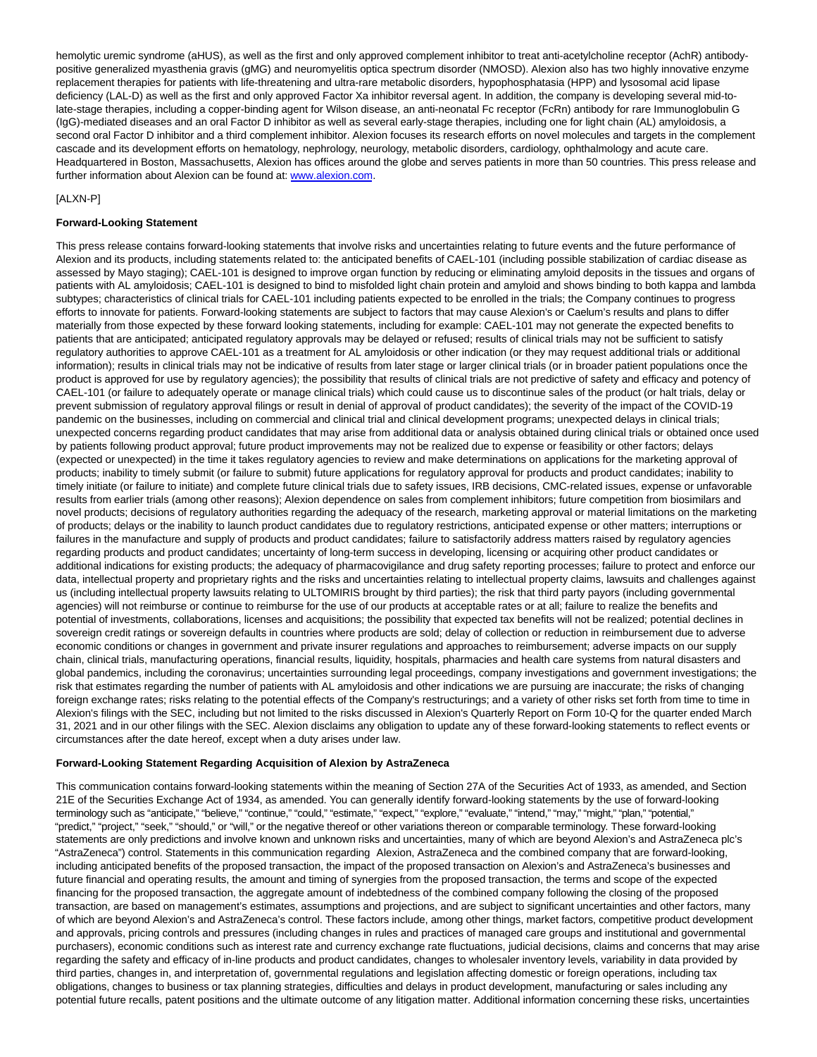hemolytic uremic syndrome (aHUS), as well as the first and only approved complement inhibitor to treat anti-acetylcholine receptor (AchR) antibodypositive generalized myasthenia gravis (gMG) and neuromyelitis optica spectrum disorder (NMOSD). Alexion also has two highly innovative enzyme replacement therapies for patients with life-threatening and ultra-rare metabolic disorders, hypophosphatasia (HPP) and lysosomal acid lipase deficiency (LAL-D) as well as the first and only approved Factor Xa inhibitor reversal agent. In addition, the company is developing several mid-tolate-stage therapies, including a copper-binding agent for Wilson disease, an anti-neonatal Fc receptor (FcRn) antibody for rare Immunoglobulin G (IgG)-mediated diseases and an oral Factor D inhibitor as well as several early-stage therapies, including one for light chain (AL) amyloidosis, a second oral Factor D inhibitor and a third complement inhibitor. Alexion focuses its research efforts on novel molecules and targets in the complement cascade and its development efforts on hematology, nephrology, neurology, metabolic disorders, cardiology, ophthalmology and acute care. Headquartered in Boston, Massachusetts, Alexion has offices around the globe and serves patients in more than 50 countries. This press release and further information about Alexion can be found at: [www.alexion.com.](https://cts.businesswire.com/ct/CT?id=smartlink&url=http%3A%2F%2Fwww.alexion.com&esheet=52428601&newsitemid=20210512006005&lan=en-US&anchor=www.alexion.com&index=4&md5=e3f0363e83f4b239744d8dee7d13dee1)

# [ALXN-P]

## **Forward-Looking Statement**

This press release contains forward-looking statements that involve risks and uncertainties relating to future events and the future performance of Alexion and its products, including statements related to: the anticipated benefits of CAEL-101 (including possible stabilization of cardiac disease as assessed by Mayo staging); CAEL-101 is designed to improve organ function by reducing or eliminating amyloid deposits in the tissues and organs of patients with AL amyloidosis; CAEL-101 is designed to bind to misfolded light chain protein and amyloid and shows binding to both kappa and lambda subtypes; characteristics of clinical trials for CAEL-101 including patients expected to be enrolled in the trials; the Company continues to progress efforts to innovate for patients. Forward-looking statements are subject to factors that may cause Alexion's or Caelum's results and plans to differ materially from those expected by these forward looking statements, including for example: CAEL-101 may not generate the expected benefits to patients that are anticipated; anticipated regulatory approvals may be delayed or refused; results of clinical trials may not be sufficient to satisfy regulatory authorities to approve CAEL-101 as a treatment for AL amyloidosis or other indication (or they may request additional trials or additional information); results in clinical trials may not be indicative of results from later stage or larger clinical trials (or in broader patient populations once the product is approved for use by regulatory agencies); the possibility that results of clinical trials are not predictive of safety and efficacy and potency of CAEL-101 (or failure to adequately operate or manage clinical trials) which could cause us to discontinue sales of the product (or halt trials, delay or prevent submission of regulatory approval filings or result in denial of approval of product candidates); the severity of the impact of the COVID-19 pandemic on the businesses, including on commercial and clinical trial and clinical development programs; unexpected delays in clinical trials; unexpected concerns regarding product candidates that may arise from additional data or analysis obtained during clinical trials or obtained once used by patients following product approval; future product improvements may not be realized due to expense or feasibility or other factors; delays (expected or unexpected) in the time it takes regulatory agencies to review and make determinations on applications for the marketing approval of products; inability to timely submit (or failure to submit) future applications for regulatory approval for products and product candidates; inability to timely initiate (or failure to initiate) and complete future clinical trials due to safety issues, IRB decisions, CMC-related issues, expense or unfavorable results from earlier trials (among other reasons); Alexion dependence on sales from complement inhibitors; future competition from biosimilars and novel products; decisions of regulatory authorities regarding the adequacy of the research, marketing approval or material limitations on the marketing of products; delays or the inability to launch product candidates due to regulatory restrictions, anticipated expense or other matters; interruptions or failures in the manufacture and supply of products and product candidates; failure to satisfactorily address matters raised by regulatory agencies regarding products and product candidates; uncertainty of long-term success in developing, licensing or acquiring other product candidates or additional indications for existing products; the adequacy of pharmacovigilance and drug safety reporting processes; failure to protect and enforce our data, intellectual property and proprietary rights and the risks and uncertainties relating to intellectual property claims, lawsuits and challenges against us (including intellectual property lawsuits relating to ULTOMIRIS brought by third parties); the risk that third party payors (including governmental agencies) will not reimburse or continue to reimburse for the use of our products at acceptable rates or at all; failure to realize the benefits and potential of investments, collaborations, licenses and acquisitions; the possibility that expected tax benefits will not be realized; potential declines in sovereign credit ratings or sovereign defaults in countries where products are sold; delay of collection or reduction in reimbursement due to adverse economic conditions or changes in government and private insurer regulations and approaches to reimbursement; adverse impacts on our supply chain, clinical trials, manufacturing operations, financial results, liquidity, hospitals, pharmacies and health care systems from natural disasters and global pandemics, including the coronavirus; uncertainties surrounding legal proceedings, company investigations and government investigations; the risk that estimates regarding the number of patients with AL amyloidosis and other indications we are pursuing are inaccurate; the risks of changing foreign exchange rates; risks relating to the potential effects of the Company's restructurings; and a variety of other risks set forth from time to time in Alexion's filings with the SEC, including but not limited to the risks discussed in Alexion's Quarterly Report on Form 10-Q for the quarter ended March 31, 2021 and in our other filings with the SEC. Alexion disclaims any obligation to update any of these forward-looking statements to reflect events or circumstances after the date hereof, except when a duty arises under law.

## **Forward-Looking Statement Regarding Acquisition of Alexion by AstraZeneca**

This communication contains forward-looking statements within the meaning of Section 27A of the Securities Act of 1933, as amended, and Section 21E of the Securities Exchange Act of 1934, as amended. You can generally identify forward-looking statements by the use of forward-looking terminology such as "anticipate," "believe," "continue," "could," "estimate," "expect," "explore," "evaluate," "intend," "may," "might," "plan," "potential," "predict," "project," "seek," "should," or "will," or the negative thereof or other variations thereon or comparable terminology. These forward-looking statements are only predictions and involve known and unknown risks and uncertainties, many of which are beyond Alexion's and AstraZeneca plc's "AstraZeneca") control. Statements in this communication regarding Alexion, AstraZeneca and the combined company that are forward-looking, including anticipated benefits of the proposed transaction, the impact of the proposed transaction on Alexion's and AstraZeneca's businesses and future financial and operating results, the amount and timing of synergies from the proposed transaction, the terms and scope of the expected financing for the proposed transaction, the aggregate amount of indebtedness of the combined company following the closing of the proposed transaction, are based on management's estimates, assumptions and projections, and are subject to significant uncertainties and other factors, many of which are beyond Alexion's and AstraZeneca's control. These factors include, among other things, market factors, competitive product development and approvals, pricing controls and pressures (including changes in rules and practices of managed care groups and institutional and governmental purchasers), economic conditions such as interest rate and currency exchange rate fluctuations, judicial decisions, claims and concerns that may arise regarding the safety and efficacy of in-line products and product candidates, changes to wholesaler inventory levels, variability in data provided by third parties, changes in, and interpretation of, governmental regulations and legislation affecting domestic or foreign operations, including tax obligations, changes to business or tax planning strategies, difficulties and delays in product development, manufacturing or sales including any potential future recalls, patent positions and the ultimate outcome of any litigation matter. Additional information concerning these risks, uncertainties